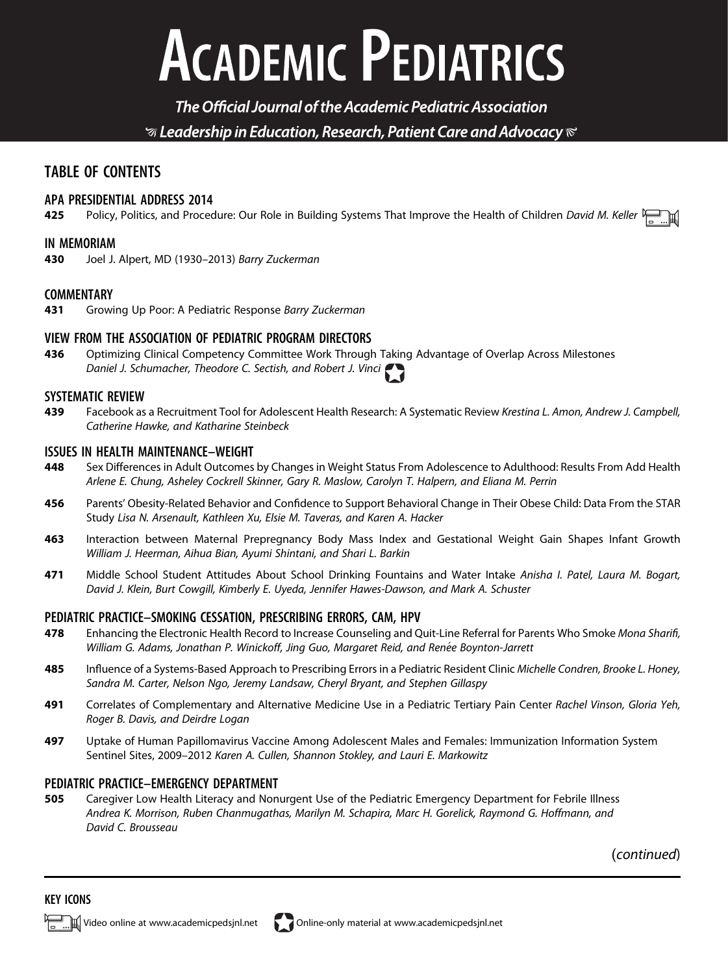# **ACADEMIC PEDIATRICS**

The Official Journal of the Academic Pediatric Association  $\mathcal G$  Leadership in Education, Research, Patient Care and Advocacy  $\mathcal C$ 

### TABLE OF CONTENTS

## **APA PRESIDENTIAL ADDRESS 2014**<br>**425** Policy, Politics, and Proces

Policy, Politics, and Procedure: Our Role in Building Systems That Improve the Health of Children David M. Keller  $\frac{N}{T}$ 

#### IN MEMORIAM

430 Joel J. Alpert, MD (1930–2013) Barry Zuckerman

#### **COMMENTARY**

431 Growing Up Poor: A Pediatric Response Barry Zuckerman

#### VIEW FROM THE ASSOCIATION OF PEDIATRIC PROGRAM DIRECTORS

436 Optimizing Clinical Competency Committee Work Through Taking Advantage of Overlap Across Milestones Daniel J. Schumacher, Theodore C. Sectish, and Robert J. Vinci

#### SYSTEMATIC REVIEW

439 Facebook as a Recruitment Tool for Adolescent Health Research: A Systematic Review Krestina L. Amon, Andrew J. Campbell, Catherine Hawke, and Katharine Steinbeck

## **ISSUES IN HEALTH MAINTENANCE-WEIGHT**<br>**448** Sex Differences in Adult Outcomes

- Sex Differences in Adult Outcomes by Changes in Weight Status From Adolescence to Adulthood: Results From Add Health Arlene E. Chung, Asheley Cockrell Skinner, Gary R. Maslow, Carolyn T. Halpern, and Eliana M. Perrin
- 456 Parents' Obesity-Related Behavior and Confidence to Support Behavioral Change in Their Obese Child: Data From the STAR Study Lisa N. Arsenault, Kathleen Xu, Elsie M. Taveras, and Karen A. Hacker
- 463 Interaction between Maternal Prepregnancy Body Mass Index and Gestational Weight Gain Shapes Infant Growth William J. Heerman, Aihua Bian, Ayumi Shintani, and Shari L. Barkin
- 471 Middle School Student Attitudes About School Drinking Fountains and Water Intake Anisha I. Patel, Laura M. Bogart, David J. Klein, Burt Cowgill, Kimberly E. Uyeda, Jennifer Hawes-Dawson, and Mark A. Schuster

#### PEDIATRIC PRACTICE–SMOKING CESSATION, PRESCRIBING ERRORS, CAM, HPV

- 478 Enhancing the Electronic Health Record to Increase Counseling and Quit-Line Referral for Parents Who Smoke Mona Sharifi, William G. Adams, Jonathan P. Winickoff, Jing Guo, Margaret Reid, and Renée Boynton-Jarrett
- 485 Influence of a Systems-Based Approach to Prescribing Errors in a Pediatric Resident Clinic Michelle Condren, Brooke L. Honey, Sandra M. Carter, Nelson Ngo, Jeremy Landsaw, Cheryl Bryant, and Stephen Gillaspy
- 491 Correlates of Complementary and Alternative Medicine Use in a Pediatric Tertiary Pain Center Rachel Vinson, Gloria Yeh, Roger B. Davis, and Deirdre Logan
- 497 Uptake of Human Papillomavirus Vaccine Among Adolescent Males and Females: Immunization Information System Sentinel Sites, 2009–2012 Karen A. Cullen, Shannon Stokley, and Lauri E. Markowitz

## **PEDIATRIC PRACTICE–EMERGENCY DEPARTMENT**<br>**505** Caregiver Low Health Literacy and Non

505 Caregiver Low Health Literacy and Nonurgent Use of the Pediatric Emergency Department for Febrile Illness Andrea K. Morrison, Ruben Chanmugathas, Marilyn M. Schapira, Marc H. Gorelick, Raymond G. Hoffmann, and David C. Brousseau

(continued)

膩